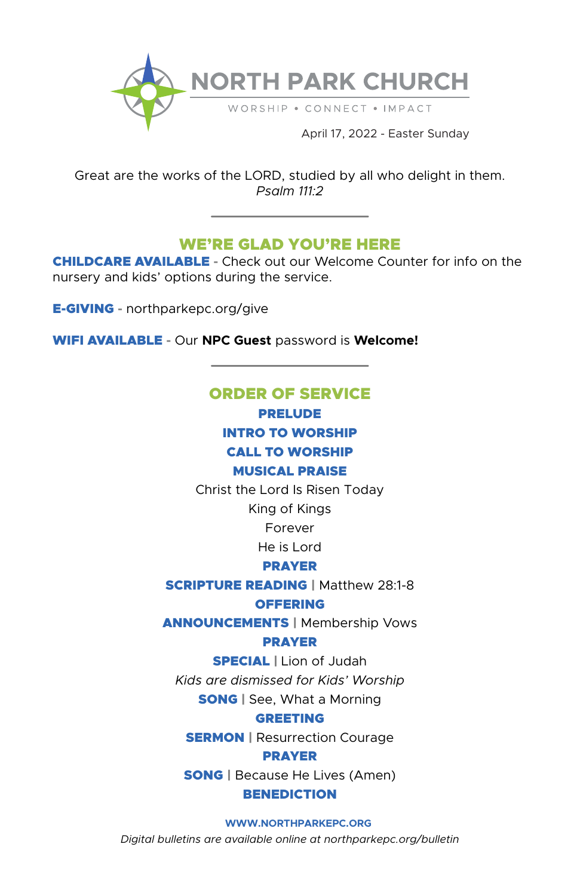

Great are the works of the LORD, studied by all who delight in them. *Psalm 111:2*

# WE'RE GLAD YOU'RE HERE

CHILDCARE AVAILABLE **-** Check out our Welcome Counter for info on the nursery and kids' options during the service.

E-GIVING **-** northparkepc.org/give

WIFI AVAILABLE **-** Our **NPC Guest** password is **Welcome!**

# ORDER OF SERVICE

PRELUDE

INTRO TO WORSHIP

# CALL TO WORSHIP

# MUSICAL PRAISE

Christ the Lord Is Risen Today

King of Kings

Forever

He is Lord

# PRAYER

### **SCRIPTURE READING | Matthew 28:1-8 OFFERING**

ANNOUNCEMENTS | Membership Vows

# PRAYER

SPECIAL | Lion of Judah

*Kids are dismissed for Kids' Worship*

**SONG** | See, What a Morning

# GREETING

**SERMON** | Resurrection Courage

PRAYER

SONG | Because He Lives (Amen)

# **BENEDICTION**

#### **WWW.NORTHPARKEPC.ORG**

*Digital bulletins are available online at northparkepc.org/bulletin*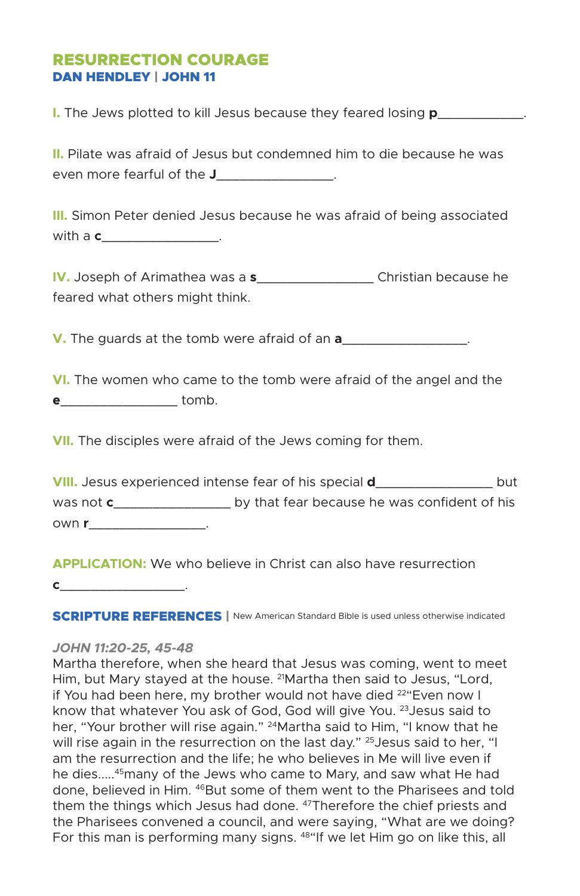# RESURRECTION COURAGE DAN HENDLEY | JOHN 11

**I.** The Jews plotted to kill Jesus because they feared losing **p**\_\_\_\_\_\_\_\_\_\_\_\_.

**II.** Pilate was afraid of Jesus but condemned him to die because he was even more fearful of the **J**\_\_\_\_\_\_\_\_\_\_\_\_\_\_\_.

**III.** Simon Peter denied Jesus because he was afraid of being associated with a **c**\_\_\_\_\_\_\_\_\_\_\_\_\_\_\_\_.

**IV.** Joseph of Arimathea was a **s**\_\_\_\_\_\_\_\_\_\_\_\_\_\_\_ Christian because he feared what others might think.

**V.** The guards at the tomb were afraid of an **a**\_\_\_\_\_\_\_\_\_\_\_\_\_\_\_\_.

**VI.** The women who came to the tomb were afraid of the angel and the **e**\_\_\_\_\_\_\_\_\_\_\_\_\_\_\_ tomb.

**VII.** The disciples were afraid of the Jews coming for them.

| <b>VIII.</b> Jesus experienced intense fear of his special <b>d</b> |                                              | but |
|---------------------------------------------------------------------|----------------------------------------------|-----|
| was not <b>c</b>                                                    | by that fear because he was confident of his |     |
| own r                                                               |                                              |     |

**APPLICATION:** We who believe in Christ can also have resurrection **c**\_\_\_\_\_\_\_\_\_\_\_\_\_\_\_\_.

**SCRIPTURE REFERENCES** | New American Standard Bible is used unless otherwise indicated

#### *JOHN 11:20-25, 45-48*

Martha therefore, when she heard that Jesus was coming, went to meet Him, but Mary stayed at the house. 21Martha then said to Jesus, "Lord, if You had been here, my brother would not have died <sup>22</sup> Even now I know that whatever You ask of God, God will give You. <sup>23</sup> Jesus said to her, "Your brother will rise again." <sup>24</sup>Martha said to Him, "I know that he will rise again in the resurrection on the last day." <sup>25</sup> Jesus said to her, "I am the resurrection and the life; he who believes in Me will live even if he dies.....45many of the Jews who came to Mary, and saw what He had done, believed in Him. 46But some of them went to the Pharisees and told them the things which Jesus had done. <sup>47</sup>Therefore the chief priests and the Pharisees convened a council, and were saying, "What are we doing? For this man is performing many signs. <sup>48"</sup>If we let Him go on like this, all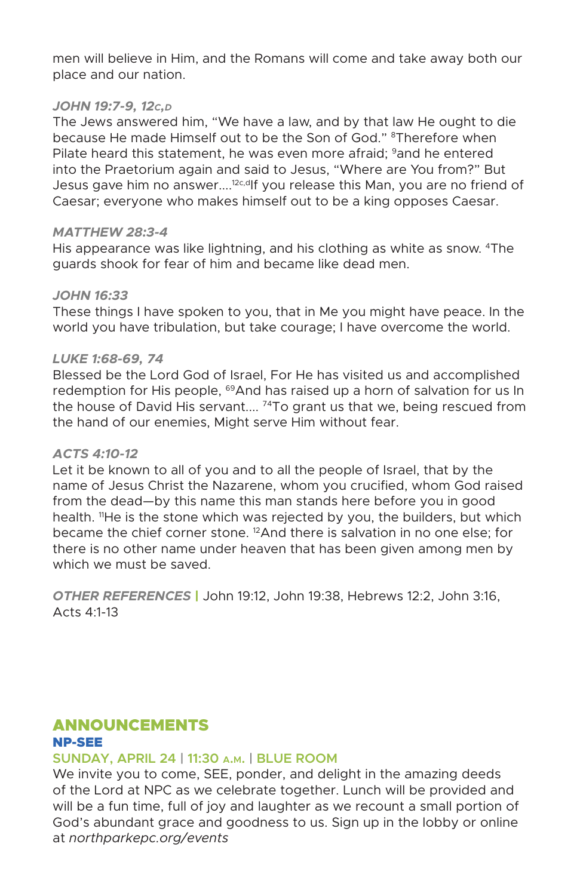men will believe in Him, and the Romans will come and take away both our place and our nation.

#### *JOHN 19:7-9, 12c,d*

The Jews answered him, "We have a law, and by that law He ought to die because He made Himself out to be the Son of God." <sup>8</sup>Therefore when Pilate heard this statement, he was even more afraid; <sup>9</sup>and he entered into the Praetorium again and said to Jesus, "Where are You from?" But Jesus gave him no answer....<sup>12c,d</sup>If you release this Man, you are no friend of Caesar; everyone who makes himself out to be a king opposes Caesar.

#### *MATTHEW 28:3-4*

His appearance was like lightning, and his clothing as white as snow. 4The guards shook for fear of him and became like dead men.

#### *JOHN 16:33*

These things I have spoken to you, that in Me you might have peace. In the world you have tribulation, but take courage; I have overcome the world.

#### *LUKE 1:68-69, 74*

Blessed be the Lord God of Israel, For He has visited us and accomplished redemption for His people, <sup>69</sup>And has raised up a horn of salvation for us In the house of David His servant....<sup>74</sup>To grant us that we, being rescued from the hand of our enemies, Might serve Him without fear.

#### *ACTS 4:10-12*

Let it be known to all of you and to all the people of Israel, that by the name of Jesus Christ the Nazarene, whom you crucified, whom God raised from the dead—by this name this man stands here before you in good health. <sup>11</sup>He is the stone which was rejected by you, the builders, but which became the chief corner stone. 12And there is salvation in no one else; for there is no other name under heaven that has been given among men by which we must be saved.

*OTHER REFERENCES* | John 19:12, John 19:38, Hebrews 12:2, John 3:16, Acts 4:1-13

#### ANNOUNCEMENTS NP-SEE

#### **SUNDAY, APRIL 24 | 11:30 a.m. | BLUE ROOM**

We invite you to come, SEE, ponder, and delight in the amazing deeds of the Lord at NPC as we celebrate together. Lunch will be provided and will be a fun time, full of joy and laughter as we recount a small portion of God's abundant grace and goodness to us. Sign up in the lobby or online at *northparkepc.org/events*